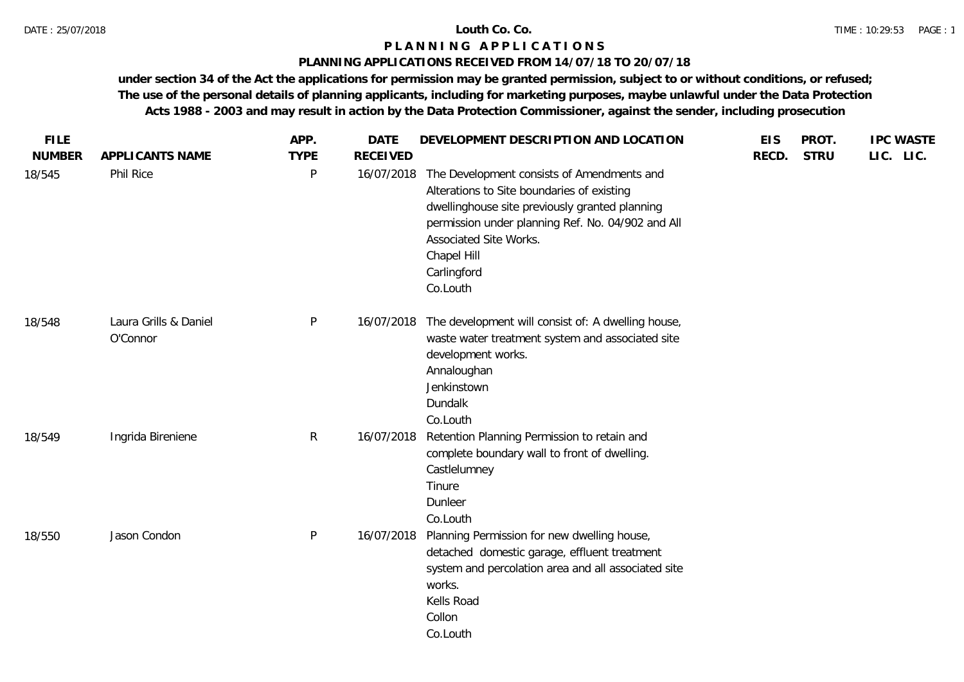### **PLANNING APPLICATIONS RECEIVED FROM 14/07/18 TO 20/07/18**

| <b>FILE</b>   |                                   | APP.        | <b>DATE</b>     | DEVELOPMENT DESCRIPTION AND LOCATION                                                                                                                                                                                                                                | <b>EIS</b> | PROT.       | <b>IPC WASTE</b> |
|---------------|-----------------------------------|-------------|-----------------|---------------------------------------------------------------------------------------------------------------------------------------------------------------------------------------------------------------------------------------------------------------------|------------|-------------|------------------|
| <b>NUMBER</b> | APPLICANTS NAME                   | <b>TYPE</b> | <b>RECEIVED</b> |                                                                                                                                                                                                                                                                     | RECD.      | <b>STRU</b> | LIC. LIC.        |
| 18/545        | Phil Rice                         | P           | 16/07/2018      | The Development consists of Amendments and<br>Alterations to Site boundaries of existing<br>dwellinghouse site previously granted planning<br>permission under planning Ref. No. 04/902 and All<br>Associated Site Works.<br>Chapel Hill<br>Carlingford<br>Co.Louth |            |             |                  |
| 18/548        | Laura Grills & Daniel<br>O'Connor | P           | 16/07/2018      | The development will consist of: A dwelling house,<br>waste water treatment system and associated site<br>development works.<br>Annaloughan<br>Jenkinstown<br>Dundalk<br>Co.Louth                                                                                   |            |             |                  |
| 18/549        | Ingrida Bireniene                 | R           | 16/07/2018      | Retention Planning Permission to retain and<br>complete boundary wall to front of dwelling.<br>Castlelumney<br>Tinure<br>Dunleer<br>Co.Louth                                                                                                                        |            |             |                  |
| 18/550        | Jason Condon                      | P           | 16/07/2018      | Planning Permission for new dwelling house,<br>detached domestic garage, effluent treatment<br>system and percolation area and all associated site<br>works.<br>Kells Road<br>Collon<br>Co.Louth                                                                    |            |             |                  |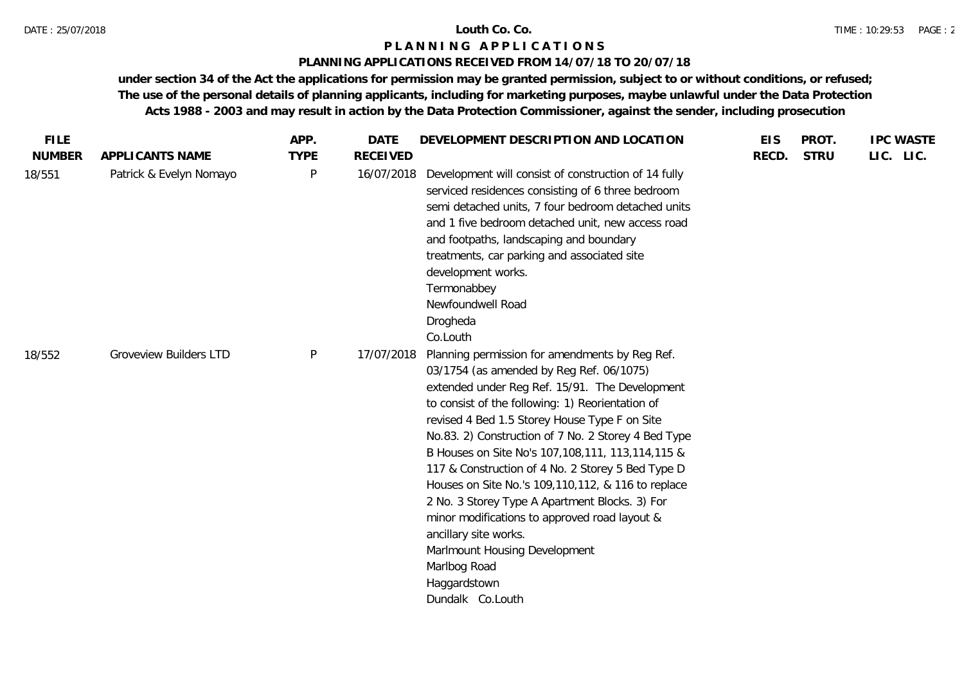# **PLANNING APPLICATIONS RECEIVED FROM 14/07/18 TO 20/07/18**

| <b>FILE</b>   |                               | APP.         | <b>DATE</b>     | DEVELOPMENT DESCRIPTION AND LOCATION                                                                                                                                                                                                                                                                                                                                                                                                                                                                                                                                                                                                                                                           | <b>EIS</b> | PROT.       | <b>IPC WASTE</b> |
|---------------|-------------------------------|--------------|-----------------|------------------------------------------------------------------------------------------------------------------------------------------------------------------------------------------------------------------------------------------------------------------------------------------------------------------------------------------------------------------------------------------------------------------------------------------------------------------------------------------------------------------------------------------------------------------------------------------------------------------------------------------------------------------------------------------------|------------|-------------|------------------|
| <b>NUMBER</b> | APPLICANTS NAME               | <b>TYPE</b>  | <b>RECEIVED</b> |                                                                                                                                                                                                                                                                                                                                                                                                                                                                                                                                                                                                                                                                                                | RECD.      | <b>STRU</b> | LIC. LIC.        |
| 18/551        | Patrick & Evelyn Nomayo       | P            | 16/07/2018      | Development will consist of construction of 14 fully<br>serviced residences consisting of 6 three bedroom<br>semi detached units, 7 four bedroom detached units<br>and 1 five bedroom detached unit, new access road<br>and footpaths, landscaping and boundary<br>treatments, car parking and associated site<br>development works.<br>Termonabbey<br>Newfoundwell Road<br>Drogheda<br>Co.Louth                                                                                                                                                                                                                                                                                               |            |             |                  |
| 18/552        | <b>Groveview Builders LTD</b> | $\mathsf{P}$ | 17/07/2018      | Planning permission for amendments by Reg Ref.<br>03/1754 (as amended by Reg Ref. 06/1075)<br>extended under Reg Ref. 15/91. The Development<br>to consist of the following: 1) Reorientation of<br>revised 4 Bed 1.5 Storey House Type F on Site<br>No.83. 2) Construction of 7 No. 2 Storey 4 Bed Type<br>B Houses on Site No's 107, 108, 111, 113, 114, 115 &<br>117 & Construction of 4 No. 2 Storey 5 Bed Type D<br>Houses on Site No.'s 109, 110, 112, & 116 to replace<br>2 No. 3 Storey Type A Apartment Blocks. 3) For<br>minor modifications to approved road layout &<br>ancillary site works.<br>Marlmount Housing Development<br>Marlbog Road<br>Haggardstown<br>Dundalk Co.Louth |            |             |                  |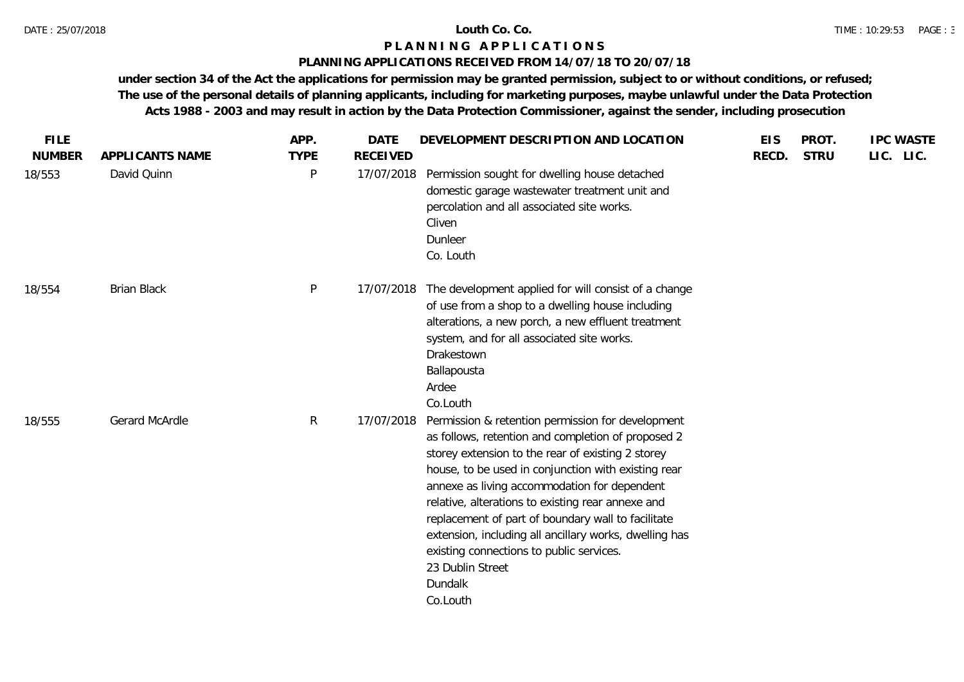### **PLANNING APPLICATIONS RECEIVED FROM 14/07/18 TO 20/07/18**

| <b>FILE</b><br><b>NUMBER</b> | APPLICANTS NAME    | APP.<br><b>TYPE</b> | <b>DATE</b><br><b>RECEIVED</b> | DEVELOPMENT DESCRIPTION AND LOCATION                                                                                                                                                                                                                                                                                                                                                                                                                                                                                            | <b>EIS</b><br>RECD. | PROT.<br><b>STRU</b> | <b>IPC WASTE</b><br>LIC. LIC. |
|------------------------------|--------------------|---------------------|--------------------------------|---------------------------------------------------------------------------------------------------------------------------------------------------------------------------------------------------------------------------------------------------------------------------------------------------------------------------------------------------------------------------------------------------------------------------------------------------------------------------------------------------------------------------------|---------------------|----------------------|-------------------------------|
| 18/553                       | David Quinn        | P                   | 17/07/2018                     | Permission sought for dwelling house detached<br>domestic garage wastewater treatment unit and<br>percolation and all associated site works.<br>Cliven<br>Dunleer<br>Co. Louth                                                                                                                                                                                                                                                                                                                                                  |                     |                      |                               |
| 18/554                       | <b>Brian Black</b> | P                   | 17/07/2018                     | The development applied for will consist of a change<br>of use from a shop to a dwelling house including<br>alterations, a new porch, a new effluent treatment<br>system, and for all associated site works.<br>Drakestown<br>Ballapousta<br>Ardee<br>Co.Louth                                                                                                                                                                                                                                                                  |                     |                      |                               |
| 18/555                       | Gerard McArdle     | $\mathsf{R}$        | 17/07/2018                     | Permission & retention permission for development<br>as follows, retention and completion of proposed 2<br>storey extension to the rear of existing 2 storey<br>house, to be used in conjunction with existing rear<br>annexe as living accommodation for dependent<br>relative, alterations to existing rear annexe and<br>replacement of part of boundary wall to facilitate<br>extension, including all ancillary works, dwelling has<br>existing connections to public services.<br>23 Dublin Street<br>Dundalk<br>Co.Louth |                     |                      |                               |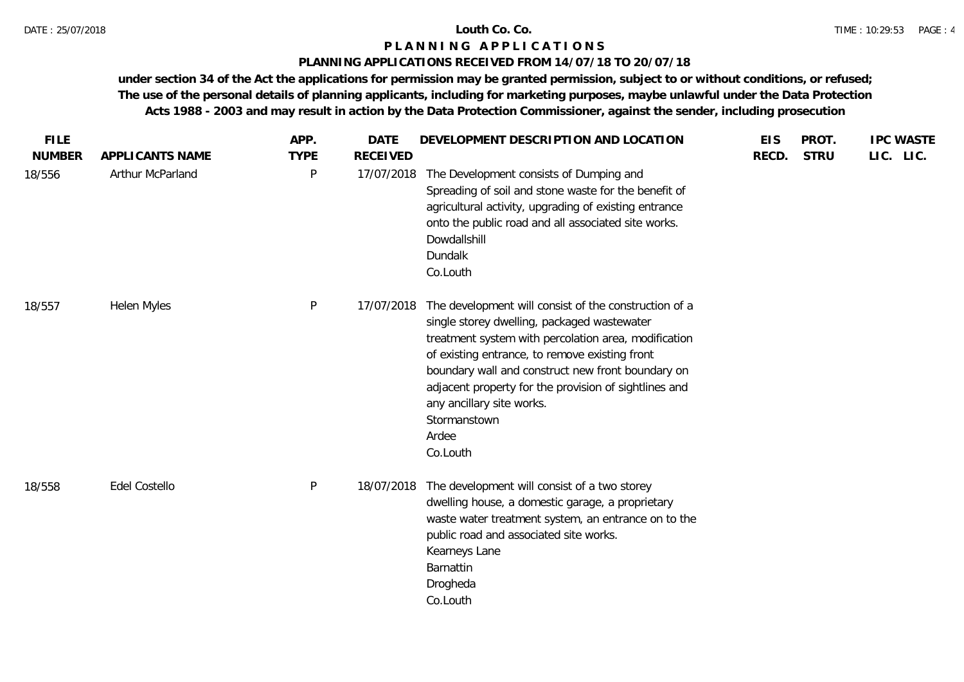### **PLANNING APPLICATIONS RECEIVED FROM 14/07/18 TO 20/07/18**

| <b>FILE</b><br><b>NUMBER</b> | APPLICANTS NAME  | APP.<br><b>TYPE</b> | <b>DATE</b><br><b>RECEIVED</b> | DEVELOPMENT DESCRIPTION AND LOCATION                                                                                                                                                                                                                                                                                                                                                           | <b>EIS</b><br>RECD. | PROT.<br><b>STRU</b> | <b>IPC WASTE</b><br>LIC. LIC. |
|------------------------------|------------------|---------------------|--------------------------------|------------------------------------------------------------------------------------------------------------------------------------------------------------------------------------------------------------------------------------------------------------------------------------------------------------------------------------------------------------------------------------------------|---------------------|----------------------|-------------------------------|
| 18/556                       | Arthur McParland | P                   | 17/07/2018                     | The Development consists of Dumping and<br>Spreading of soil and stone waste for the benefit of<br>agricultural activity, upgrading of existing entrance<br>onto the public road and all associated site works.<br>Dowdallshill<br>Dundalk<br>Co.Louth                                                                                                                                         |                     |                      |                               |
| 18/557                       | Helen Myles      | P                   | 17/07/2018                     | The development will consist of the construction of a<br>single storey dwelling, packaged wastewater<br>treatment system with percolation area, modification<br>of existing entrance, to remove existing front<br>boundary wall and construct new front boundary on<br>adjacent property for the provision of sightlines and<br>any ancillary site works.<br>Stormanstown<br>Ardee<br>Co.Louth |                     |                      |                               |
| 18/558                       | Edel Costello    | P                   | 18/07/2018                     | The development will consist of a two storey<br>dwelling house, a domestic garage, a proprietary<br>waste water treatment system, an entrance on to the<br>public road and associated site works.<br>Kearneys Lane<br>Barnattin<br>Drogheda<br>Co.Louth                                                                                                                                        |                     |                      |                               |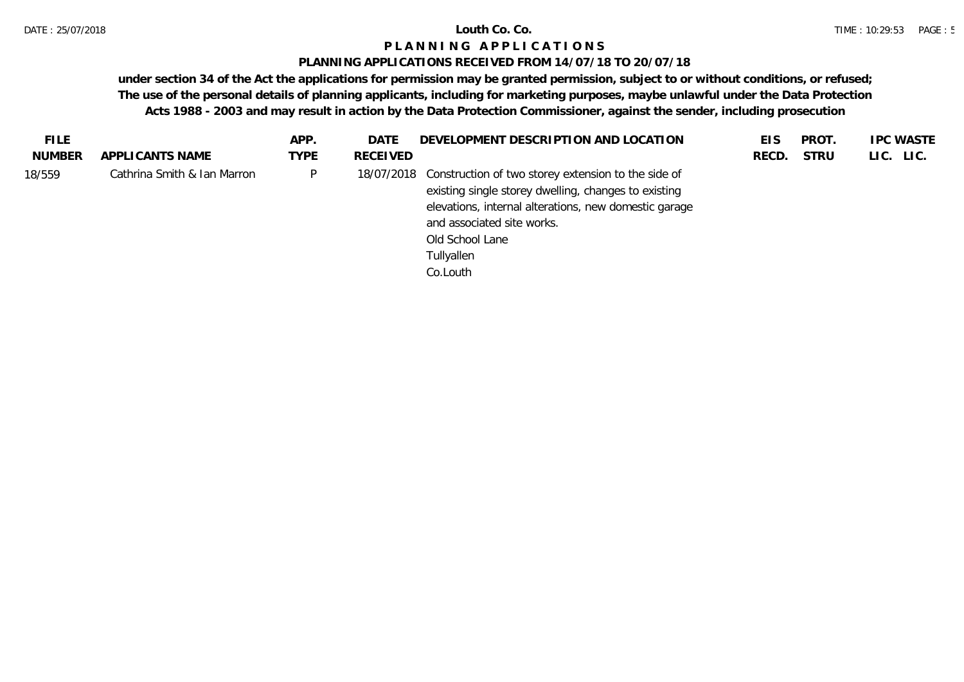## **PLANNING APPLICATIONS RECEIVED FROM 14/07/18 TO 20/07/18**

| FILE.         |                             | APP.        | DATE       | DEVELOPMENT DESCRIPTION AND LOCATION                                                                                                                                                                                  | EIS   | PROT.       | <b>IPC WASTE</b> |
|---------------|-----------------------------|-------------|------------|-----------------------------------------------------------------------------------------------------------------------------------------------------------------------------------------------------------------------|-------|-------------|------------------|
| <b>NUMBER</b> | APPLICANTS NAME             | <b>TYPE</b> | RECEIVED   |                                                                                                                                                                                                                       | RECD. | <b>STRU</b> | LIC. LIC.        |
| 18/559        | Cathrina Smith & Ian Marron | P           | 18/07/2018 | Construction of two storey extension to the side of<br>existing single storey dwelling, changes to existing<br>elevations, internal alterations, new domestic garage<br>and associated site works.<br>Old School Lane |       |             |                  |
|               |                             |             |            | Tullyallen<br>Co.Louth                                                                                                                                                                                                |       |             |                  |
|               |                             |             |            |                                                                                                                                                                                                                       |       |             |                  |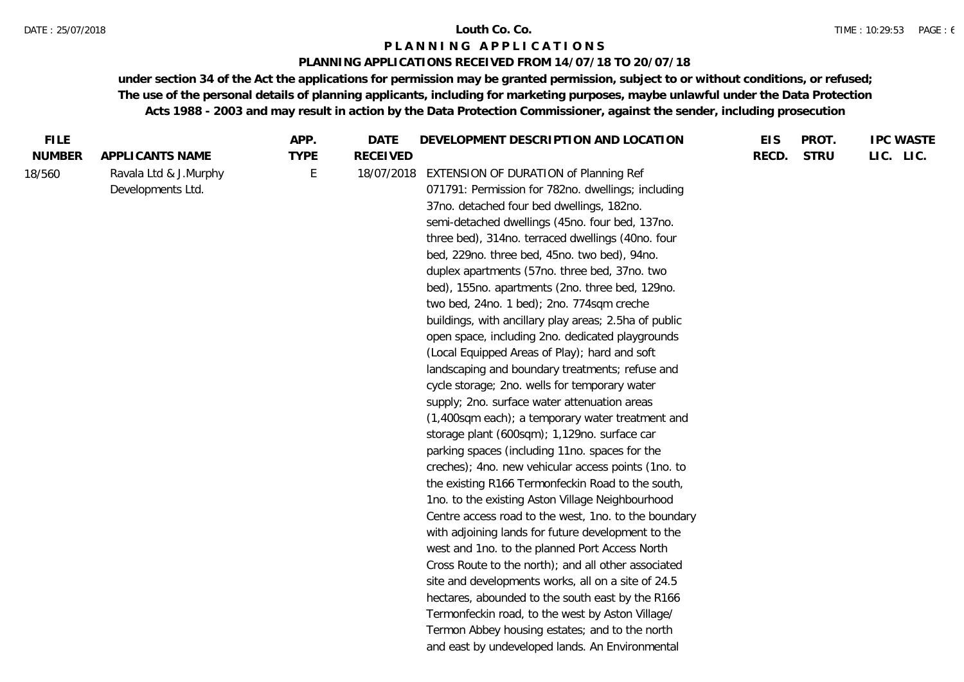### **PLANNING APPLICATIONS RECEIVED FROM 14/07/18 TO 20/07/18**

| <b>FILE</b>   |                                            | APP.        | <b>DATE</b>     | DEVELOPMENT DESCRIPTION AND LOCATION                                                                                                                                                                                                                                                                                                                                                                                                                                                                                                                                                                                                                                                                                                                                                                                                                                                                                                                                                                                                                                                                                                                                                                                                                                                                                                                                                                                                                                                                                                                                                | <b>EIS</b> | PROT.       | <b>IPC WASTE</b> |
|---------------|--------------------------------------------|-------------|-----------------|-------------------------------------------------------------------------------------------------------------------------------------------------------------------------------------------------------------------------------------------------------------------------------------------------------------------------------------------------------------------------------------------------------------------------------------------------------------------------------------------------------------------------------------------------------------------------------------------------------------------------------------------------------------------------------------------------------------------------------------------------------------------------------------------------------------------------------------------------------------------------------------------------------------------------------------------------------------------------------------------------------------------------------------------------------------------------------------------------------------------------------------------------------------------------------------------------------------------------------------------------------------------------------------------------------------------------------------------------------------------------------------------------------------------------------------------------------------------------------------------------------------------------------------------------------------------------------------|------------|-------------|------------------|
| <b>NUMBER</b> | APPLICANTS NAME                            | <b>TYPE</b> | <b>RECEIVED</b> |                                                                                                                                                                                                                                                                                                                                                                                                                                                                                                                                                                                                                                                                                                                                                                                                                                                                                                                                                                                                                                                                                                                                                                                                                                                                                                                                                                                                                                                                                                                                                                                     | RECD.      | <b>STRU</b> | LIC. LIC.        |
| 18/560        | Ravala Ltd & J.Murphy<br>Developments Ltd. | E           | 18/07/2018      | EXTENSION OF DURATION of Planning Ref<br>071791: Permission for 782no. dwellings; including<br>37no. detached four bed dwellings, 182no.<br>semi-detached dwellings (45no. four bed, 137no.<br>three bed), 314no. terraced dwellings (40no. four<br>bed, 229no. three bed, 45no. two bed), 94no.<br>duplex apartments (57no. three bed, 37no. two<br>bed), 155no. apartments (2no. three bed, 129no.<br>two bed, 24no. 1 bed); 2no. 774sqm creche<br>buildings, with ancillary play areas; 2.5ha of public<br>open space, including 2no. dedicated playgrounds<br>(Local Equipped Areas of Play); hard and soft<br>landscaping and boundary treatments; refuse and<br>cycle storage; 2no. wells for temporary water<br>supply; 2no. surface water attenuation areas<br>(1,400sqm each); a temporary water treatment and<br>storage plant (600sqm); 1,129no. surface car<br>parking spaces (including 11no. spaces for the<br>creches); 4no. new vehicular access points (1no. to<br>the existing R166 Termonfeckin Road to the south,<br>1no. to the existing Aston Village Neighbourhood<br>Centre access road to the west, 1no. to the boundary<br>with adjoining lands for future development to the<br>west and 1no. to the planned Port Access North<br>Cross Route to the north); and all other associated<br>site and developments works, all on a site of 24.5<br>hectares, abounded to the south east by the R166<br>Termonfeckin road, to the west by Aston Village/<br>Termon Abbey housing estates; and to the north<br>and east by undeveloped lands. An Environmental |            |             |                  |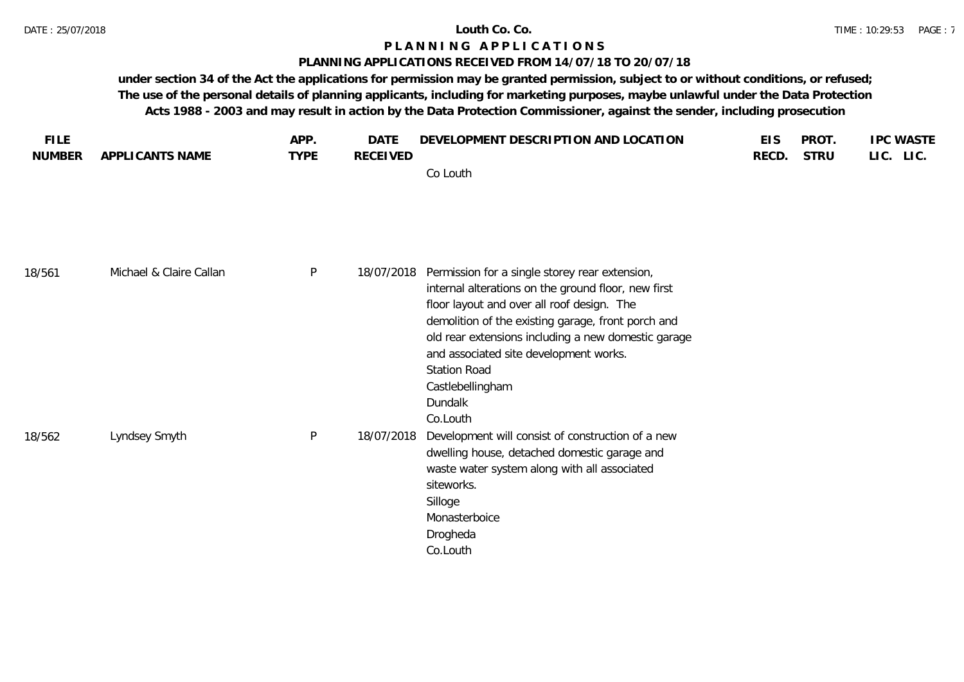### **PLANNING APPLICATIONS RECEIVED FROM 14/07/18 TO 20/07/18**

| <b>FILE</b><br><b>NUMBER</b> | APPLICANTS NAME         | APP.<br><b>TYPE</b> | <b>DATE</b><br><b>RECEIVED</b> | DEVELOPMENT DESCRIPTION AND LOCATION<br>Co Louth                                                                                                                                                                      | <b>EIS</b><br>RECD. | PROT.<br><b>STRU</b> | <b>IPC WASTE</b><br>LIC. LIC. |
|------------------------------|-------------------------|---------------------|--------------------------------|-----------------------------------------------------------------------------------------------------------------------------------------------------------------------------------------------------------------------|---------------------|----------------------|-------------------------------|
| 18/561                       | Michael & Claire Callan | $\sf P$             | 18/07/2018                     | Permission for a single storey rear extension,<br>internal alterations on the ground floor, new first<br>floor layout and over all roof design. The                                                                   |                     |                      |                               |
|                              |                         |                     |                                | demolition of the existing garage, front porch and<br>old rear extensions including a new domestic garage<br>and associated site development works.<br><b>Station Road</b><br>Castlebellingham<br>Dundalk<br>Co.Louth |                     |                      |                               |
| 18/562                       | Lyndsey Smyth           | $\sf P$             | 18/07/2018                     | Development will consist of construction of a new<br>dwelling house, detached domestic garage and<br>waste water system along with all associated<br>siteworks.<br>Silloge<br>Monasterboice<br>Drogheda<br>Co.Louth   |                     |                      |                               |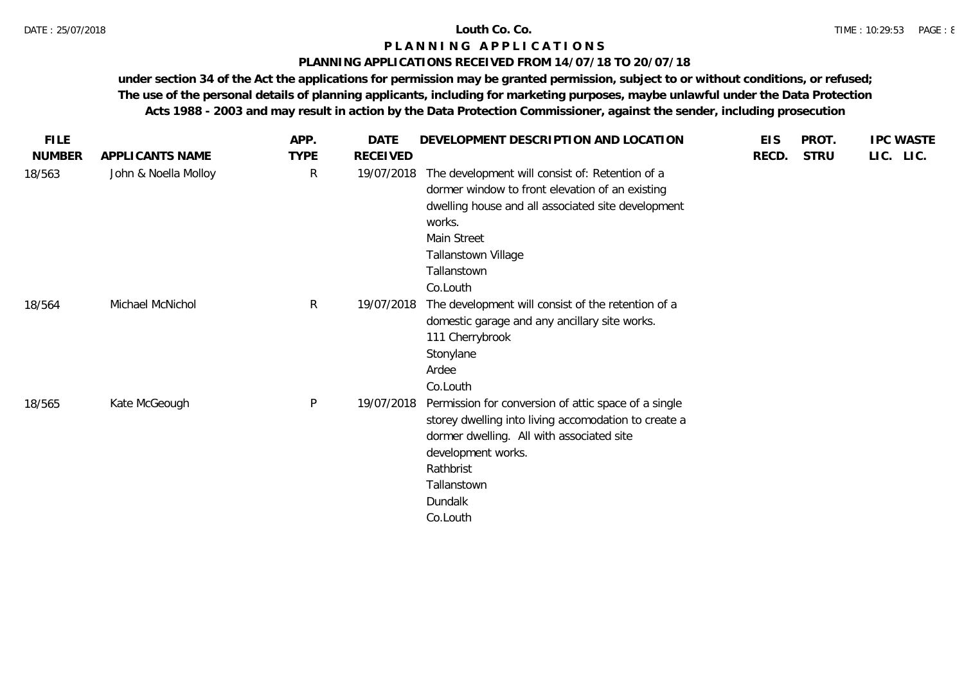### **PLANNING APPLICATIONS RECEIVED FROM 14/07/18 TO 20/07/18**

| <b>FILE</b>   |                      | APP.         | DATE       | DEVELOPMENT DESCRIPTION AND LOCATION                                                                                                                                                                                                | <b>EIS</b> | PROT.       | <b>IPC WASTE</b> |
|---------------|----------------------|--------------|------------|-------------------------------------------------------------------------------------------------------------------------------------------------------------------------------------------------------------------------------------|------------|-------------|------------------|
| <b>NUMBER</b> | APPLICANTS NAME      | <b>TYPE</b>  | RECEIVED   |                                                                                                                                                                                                                                     | RECD.      | <b>STRU</b> | LIC. LIC.        |
| 18/563        | John & Noella Molloy | R            | 19/07/2018 | The development will consist of: Retention of a<br>dormer window to front elevation of an existing<br>dwelling house and all associated site development<br>works.<br>Main Street<br>Tallanstown Village<br>Tallanstown<br>Co.Louth |            |             |                  |
| 18/564        | Michael McNichol     | $\mathsf{R}$ | 19/07/2018 | The development will consist of the retention of a<br>domestic garage and any ancillary site works.<br>111 Cherrybrook<br>Stonylane<br>Ardee<br>Co.Louth                                                                            |            |             |                  |
| 18/565        | Kate McGeough        | P            | 19/07/2018 | Permission for conversion of attic space of a single<br>storey dwelling into living accomodation to create a<br>dormer dwelling. All with associated site<br>development works.<br>Rathbrist<br>Tallanstown<br>Dundalk<br>Co.Louth  |            |             |                  |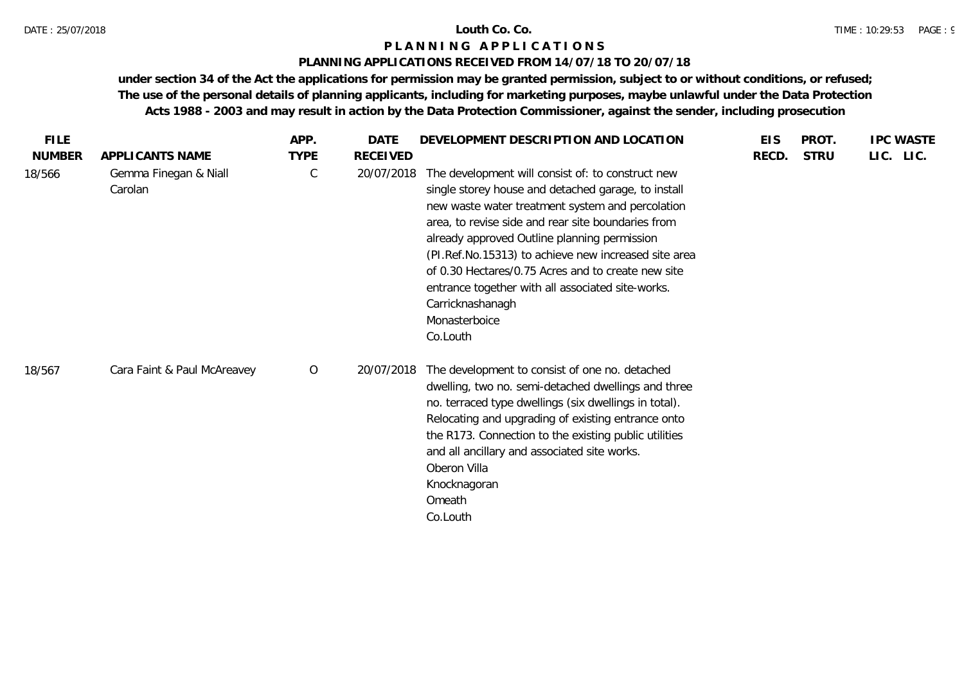# **PLANNING APPLICATIONS RECEIVED FROM 14/07/18 TO 20/07/18**

| <b>FILE</b>   |                                  | APP.        | <b>DATE</b>     | DEVELOPMENT DESCRIPTION AND LOCATION                                                                                                                                                                                                                                                                                                                                                                                                                                                   | <b>EIS</b> | PROT.       | <b>IPC WASTE</b> |
|---------------|----------------------------------|-------------|-----------------|----------------------------------------------------------------------------------------------------------------------------------------------------------------------------------------------------------------------------------------------------------------------------------------------------------------------------------------------------------------------------------------------------------------------------------------------------------------------------------------|------------|-------------|------------------|
| <b>NUMBER</b> | APPLICANTS NAME                  | <b>TYPE</b> | <b>RECEIVED</b> |                                                                                                                                                                                                                                                                                                                                                                                                                                                                                        | RECD.      | <b>STRU</b> | LIC. LIC.        |
| 18/566        | Gemma Finegan & Niall<br>Carolan | C           | 20/07/2018      | The development will consist of: to construct new<br>single storey house and detached garage, to install<br>new waste water treatment system and percolation<br>area, to revise side and rear site boundaries from<br>already approved Outline planning permission<br>(PI.Ref.No.15313) to achieve new increased site area<br>of 0.30 Hectares/0.75 Acres and to create new site<br>entrance together with all associated site-works.<br>Carricknashanagh<br>Monasterboice<br>Co.Louth |            |             |                  |
| 18/567        | Cara Faint & Paul McAreavey      | $\circ$     | 20/07/2018      | The development to consist of one no. detached<br>dwelling, two no. semi-detached dwellings and three<br>no. terraced type dwellings (six dwellings in total).<br>Relocating and upgrading of existing entrance onto<br>the R173. Connection to the existing public utilities<br>and all ancillary and associated site works.<br>Oberon Villa<br>Knocknagoran<br>Omeath<br>Co.Louth                                                                                                    |            |             |                  |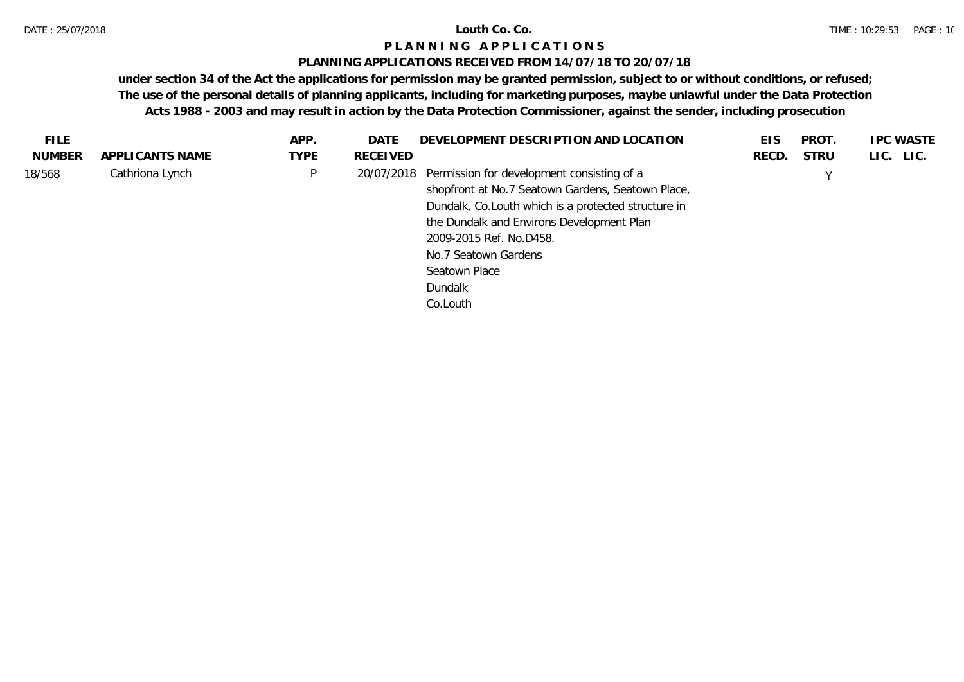### **PLANNING APPLICATIONS RECEIVED FROM 14/07/18 TO 20/07/18**

| <b>FILE</b> |                 | APP.        | DATE       | DEVELOPMENT DESCRIPTION AND LOCATION                 | EIS   | PROT.       | <b>IPC WASTE</b> |
|-------------|-----------------|-------------|------------|------------------------------------------------------|-------|-------------|------------------|
| NUMBER      | APPLICANTS NAME | <b>TYPE</b> | RECEIVED   |                                                      | RECD. | <b>STRU</b> | LIC. LIC.        |
| 18/568      | Cathriona Lynch | P           | 20/07/2018 | Permission for development consisting of a           |       |             |                  |
|             |                 |             |            | shopfront at No.7 Seatown Gardens, Seatown Place,    |       |             |                  |
|             |                 |             |            | Dundalk, Co. Louth which is a protected structure in |       |             |                  |
|             |                 |             |            | the Dundalk and Environs Development Plan            |       |             |                  |
|             |                 |             |            | 2009-2015 Ref. No.D458.                              |       |             |                  |
|             |                 |             |            | No.7 Seatown Gardens                                 |       |             |                  |
|             |                 |             |            | Seatown Place                                        |       |             |                  |
|             |                 |             |            | Dundalk                                              |       |             |                  |
|             |                 |             |            | Co.Louth                                             |       |             |                  |
|             |                 |             |            |                                                      |       |             |                  |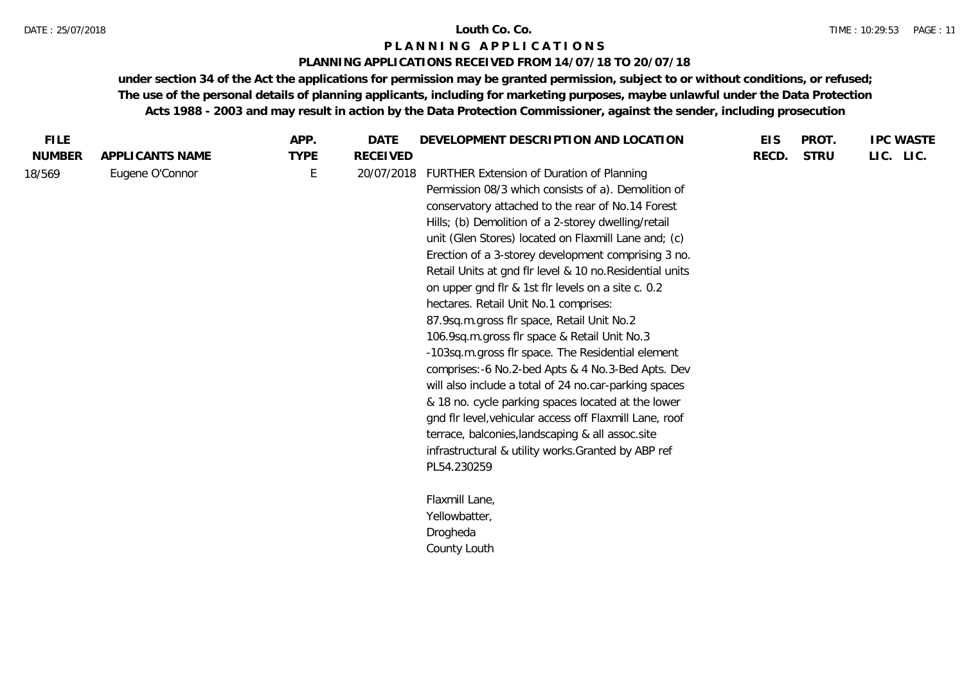### **PLANNING APPLICATIONS RECEIVED FROM 14/07/18 TO 20/07/18**

| <b>FILE</b>   |                 | APP.        | <b>DATE</b>     | DEVELOPMENT DESCRIPTION AND LOCATION                     | <b>EIS</b> | PROT.       | <b>IPC WASTE</b> |
|---------------|-----------------|-------------|-----------------|----------------------------------------------------------|------------|-------------|------------------|
| <b>NUMBER</b> | APPLICANTS NAME | <b>TYPE</b> | <b>RECEIVED</b> |                                                          | RECD.      | <b>STRU</b> | LIC. LIC.        |
| 18/569        | Eugene O'Connor | E           | 20/07/2018      | FURTHER Extension of Duration of Planning                |            |             |                  |
|               |                 |             |                 | Permission 08/3 which consists of a). Demolition of      |            |             |                  |
|               |                 |             |                 | conservatory attached to the rear of No.14 Forest        |            |             |                  |
|               |                 |             |                 | Hills; (b) Demolition of a 2-storey dwelling/retail      |            |             |                  |
|               |                 |             |                 | unit (Glen Stores) located on Flaxmill Lane and; (c)     |            |             |                  |
|               |                 |             |                 | Erection of a 3-storey development comprising 3 no.      |            |             |                  |
|               |                 |             |                 | Retail Units at gnd flr level & 10 no. Residential units |            |             |                  |
|               |                 |             |                 | on upper gnd flr & 1st flr levels on a site c. 0.2       |            |             |                  |
|               |                 |             |                 | hectares. Retail Unit No.1 comprises:                    |            |             |                  |
|               |                 |             |                 | 87.9sq.m.gross flr space, Retail Unit No.2               |            |             |                  |
|               |                 |             |                 | 106.9sq.m.gross flr space & Retail Unit No.3             |            |             |                  |
|               |                 |             |                 | -103sq.m.gross flr space. The Residential element        |            |             |                  |
|               |                 |             |                 | comprises:-6 No.2-bed Apts & 4 No.3-Bed Apts. Dev        |            |             |                  |
|               |                 |             |                 | will also include a total of 24 no.car-parking spaces    |            |             |                  |
|               |                 |             |                 | & 18 no. cycle parking spaces located at the lower       |            |             |                  |
|               |                 |             |                 | gnd flr level, vehicular access off Flaxmill Lane, roof  |            |             |                  |
|               |                 |             |                 | terrace, balconies, landscaping & all assoc.site         |            |             |                  |
|               |                 |             |                 | infrastructural & utility works. Granted by ABP ref      |            |             |                  |
|               |                 |             |                 | PL54.230259                                              |            |             |                  |
|               |                 |             |                 |                                                          |            |             |                  |
|               |                 |             |                 | Flaxmill Lane,                                           |            |             |                  |
|               |                 |             |                 | Yellowbatter,                                            |            |             |                  |
|               |                 |             |                 | Drogheda                                                 |            |             |                  |
|               |                 |             |                 | County Louth                                             |            |             |                  |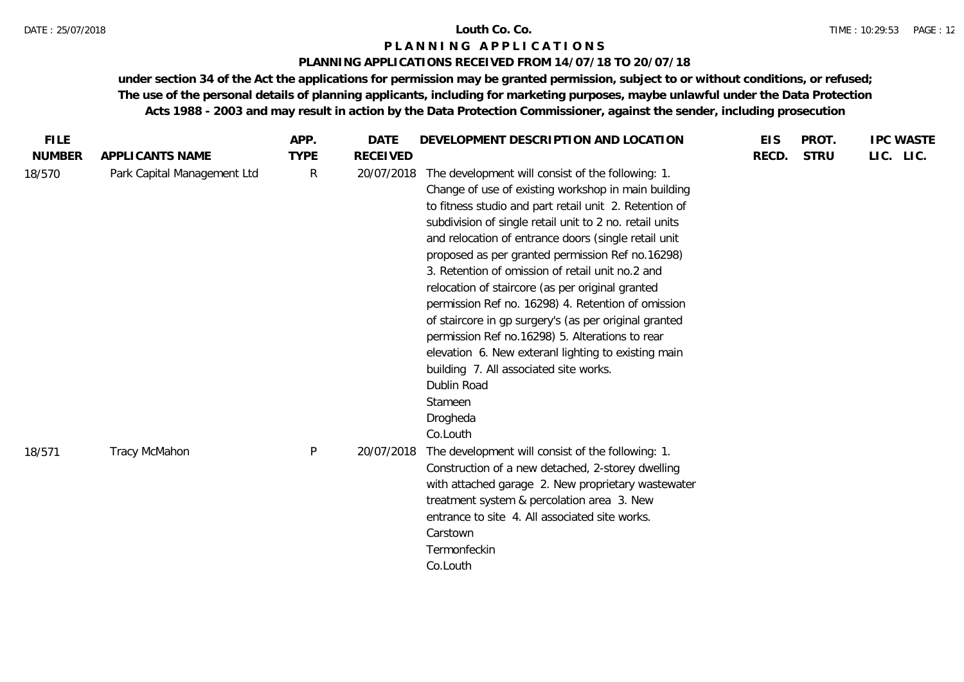# **PLANNING APPLICATIONS RECEIVED FROM 14/07/18 TO 20/07/18**

| <b>FILE</b>             |                                                | APP.<br><b>TYPE</b> | <b>DATE</b>                   | DEVELOPMENT DESCRIPTION AND LOCATION                                                                                                                                                                                                                                                                                                                                                                                                                                                                                                                                                                                                                                                                                                                                   | <b>EIS</b> | PROT.<br><b>STRU</b> | <b>IPC WASTE</b> |
|-------------------------|------------------------------------------------|---------------------|-------------------------------|------------------------------------------------------------------------------------------------------------------------------------------------------------------------------------------------------------------------------------------------------------------------------------------------------------------------------------------------------------------------------------------------------------------------------------------------------------------------------------------------------------------------------------------------------------------------------------------------------------------------------------------------------------------------------------------------------------------------------------------------------------------------|------------|----------------------|------------------|
| <b>NUMBER</b><br>18/570 | APPLICANTS NAME<br>Park Capital Management Ltd | $\mathsf{R}$        | <b>RECEIVED</b><br>20/07/2018 | The development will consist of the following: 1.<br>Change of use of existing workshop in main building<br>to fitness studio and part retail unit 2. Retention of<br>subdivision of single retail unit to 2 no. retail units<br>and relocation of entrance doors (single retail unit<br>proposed as per granted permission Ref no.16298)<br>3. Retention of omission of retail unit no.2 and<br>relocation of staircore (as per original granted<br>permission Ref no. 16298) 4. Retention of omission<br>of staircore in gp surgery's (as per original granted<br>permission Ref no.16298) 5. Alterations to rear<br>elevation 6. New exteranl lighting to existing main<br>building 7. All associated site works.<br>Dublin Road<br>Stameen<br>Drogheda<br>Co.Louth | RECD.      |                      | LIC. LIC.        |
| 18/571                  | Tracy McMahon                                  | P                   | 20/07/2018                    | The development will consist of the following: 1.<br>Construction of a new detached, 2-storey dwelling<br>with attached garage 2. New proprietary wastewater<br>treatment system & percolation area 3. New<br>entrance to site 4. All associated site works.<br>Carstown<br>Termonfeckin<br>Co.Louth                                                                                                                                                                                                                                                                                                                                                                                                                                                                   |            |                      |                  |